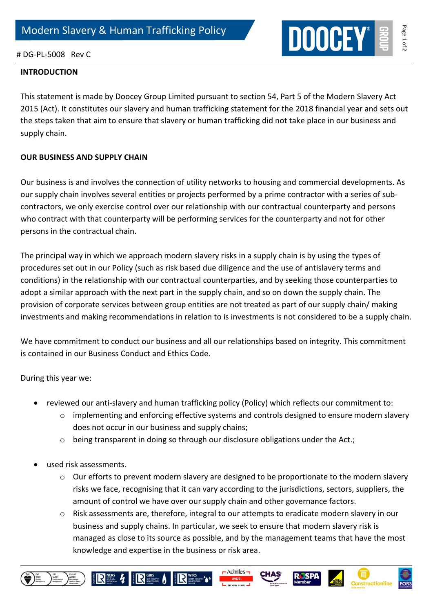

## # DG-PL-5008 Rev C

## **INTRODUCTION**

This statement is made by Doocey Group Limited pursuant to section 54, Part 5 of the Modern Slavery Act 2015 (Act). It constitutes our slavery and human trafficking statement for the 2018 financial year and sets out the steps taken that aim to ensure that slavery or human trafficking did not take place in our business and supply chain.

## **OUR BUSINESS AND SUPPLY CHAIN**

Our business is and involves the connection of utility networks to housing and commercial developments. As our supply chain involves several entities or projects performed by a prime contractor with a series of subcontractors, we only exercise control over our relationship with our contractual counterparty and persons who contract with that counterparty will be performing services for the counterparty and not for other persons in the contractual chain.

The principal way in which we approach modern slavery risks in a supply chain is by using the types of procedures set out in our Policy (such as risk based due diligence and the use of antislavery terms and conditions) in the relationship with our contractual counterparties, and by seeking those counterparties to adopt a similar approach with the next part in the supply chain, and so on down the supply chain. The provision of corporate services between group entities are not treated as part of our supply chain/ making investments and making recommendations in relation to is investments is not considered to be a supply chain.

We have commitment to conduct our business and all our relationships based on integrity. This commitment is contained in our Business Conduct and Ethics Code.

During this year we:

- reviewed our anti-slavery and human trafficking policy (Policy) which reflects our commitment to:
	- $\circ$  implementing and enforcing effective systems and controls designed to ensure modern slavery does not occur in our business and supply chains;
	- $\circ$  being transparent in doing so through our disclosure obligations under the Act.;
- used risk assessments.

IRS 4 RS AIRS

- $\circ$  Our efforts to prevent modern slavery are designed to be proportionate to the modern slavery risks we face, recognising that it can vary according to the jurisdictions, sectors, suppliers, the amount of control we have over our supply chain and other governance factors.
- $\circ$  Risk assessments are, therefore, integral to our attempts to eradicate modern slavery in our business and supply chains. In particular, we seek to ensure that modern slavery risk is managed as close to its source as possible, and by the management teams that have the most knowledge and expertise in the business or risk area.

 $\Lambda$ chilles –

CHAS